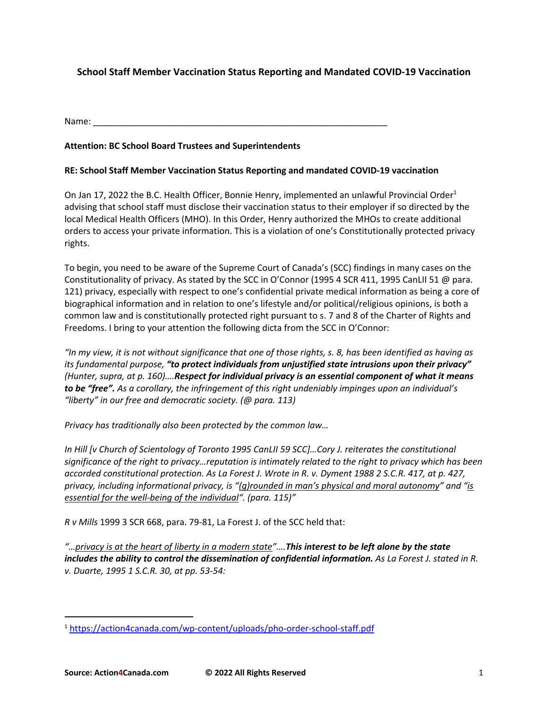# **School Staff Member Vaccination Status Reporting and Mandated COVID-19 Vaccination**

Name: \_\_\_\_\_\_\_\_\_\_\_\_\_\_\_\_\_\_\_\_\_\_\_\_\_\_\_\_\_\_\_\_\_\_\_\_\_\_\_\_\_\_\_\_\_\_\_\_\_\_\_\_\_\_\_\_\_\_\_\_

## **Attention: BC School Board Trustees and Superintendents**

### **RE: School Staff Member Vaccination Status Reporting and mandated COVID-19 vaccination**

On Jan 17, 2022 the B.C. Health Officer, Bonnie Henry, implemented an unlawful Provincial Order<sup>1</sup> advising that school staff must disclose their vaccination status to their employer if so directed by the local Medical Health Officers (MHO). In this Order, Henry authorized the MHOs to create additional orders to access your private information. This is a violation of one's Constitutionally protected privacy rights.

To begin, you need to be aware of the Supreme Court of Canada's (SCC) findings in many cases on the Constitutionality of privacy. As stated by the SCC in O'Connor (1995 4 SCR 411, 1995 CanLII 51 @ para. 121) privacy, especially with respect to one's confidential private medical information as being a core of biographical information and in relation to one's lifestyle and/or political/religious opinions, is both a common law and is constitutionally protected right pursuant to s. 7 and 8 of the Charter of Rights and Freedoms. I bring to your attention the following dicta from the SCC in O'Connor:

*"In my view, it is not without significance that one of those rights, s. 8, has been identified as having as its fundamental purpose, "to protect individuals from unjustified state intrusions upon their privacy" (Hunter, supra, at p. 160)….Respect for individual privacy is an essential component of what it means to be "free". As a corollary, the infringement of this right undeniably impinges upon an individual's "liberty" in our free and democratic society. (@ para. 113)*

*Privacy has traditionally also been protected by the common law…*

*In Hill [v Church of Scientology of Toronto 1995 CanLII 59 SCC]…Cory J. reiterates the constitutional significance of the right to privacy…reputation is intimately related to the right to privacy which has been accorded constitutional protection. As La Forest J. Wrote in R. v. Dyment 1988 2 S.C.R. 417, at p. 427, privacy, including informational privacy, is "(g)rounded in man's physical and moral autonomy" and "is essential for the well-being of the individual". (para. 115)"*

*R v Mills* 1999 3 SCR 668, para. 79-81, La Forest J. of the SCC held that:

*"…privacy is at the heart of liberty in a modern state"….This interest to be left alone by the state includes the ability to control the dissemination of confidential information. As La Forest J. stated in R. v. Duarte, 1995 1 S.C.R. 30, at pp. 53-54:*

<sup>1</sup> https://action4canada.com/wp-content/uploads/pho-order-school-staff.pdf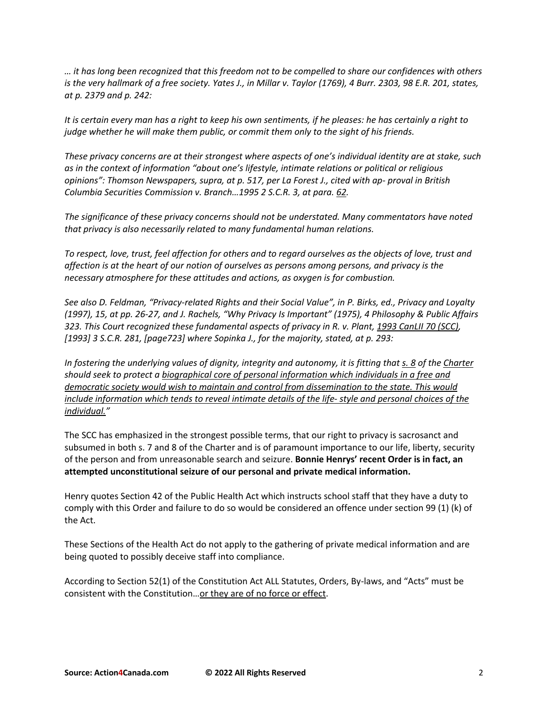*… it has long been recognized that this freedom not to be compelled to share our confidences with others is the very hallmark of a free society. Yates J., in Millar v. Taylor (1769), 4 Burr. 2303, 98 E.R. 201, states, at p. 2379 and p. 242:*

*It is certain every man has a right to keep his own sentiments, if he pleases: he has certainly a right to judge whether he will make them public, or commit them only to the sight of his friends.*

*These privacy concerns are at their strongest where aspects of one's individual identity are at stake, such as in the context of information "about one's lifestyle, intimate relations or political or religious opinions": Thomson Newspapers, supra, at p. 517, per La Forest J., cited with ap- proval in British Columbia Securities Commission v. Branch…1995 2 S.C.R. 3, at para. 62.*

*The significance of these privacy concerns should not be understated. Many commentators have noted that privacy is also necessarily related to many fundamental human relations.*

*To respect, love, trust, feel affection for others and to regard ourselves as the objects of love, trust and affection is at the heart of our notion of ourselves as persons among persons, and privacy is the necessary atmosphere for these attitudes and actions, as oxygen is for combustion.*

*See also D. Feldman, "Privacy-related Rights and their Social Value", in P. Birks, ed., Privacy and Loyalty (1997), 15, at pp. 26-27, and J. Rachels, "Why Privacy Is Important" (1975), 4 Philosophy & Public Affairs 323. This Court recognized these fundamental aspects of privacy in R. v. Plant, 1993 CanLII 70 (SCC), [1993] 3 S.C.R. 281, [page723] where Sopinka J., for the majority, stated, at p. 293:*

*In fostering the underlying values of dignity, integrity and autonomy, it is fitting that s. 8 of the Charter should seek to protect a biographical core of personal information which individuals in a free and democratic society would wish to maintain and control from dissemination to the state. This would include information which tends to reveal intimate details of the life- style and personal choices of the individual."*

The SCC has emphasized in the strongest possible terms, that our right to privacy is sacrosanct and subsumed in both s. 7 and 8 of the Charter and is of paramount importance to our life, liberty, security of the person and from unreasonable search and seizure. **Bonnie Henrys' recent Order is in fact, an attempted unconstitutional seizure of our personal and private medical information.**

Henry quotes Section 42 of the Public Health Act which instructs school staff that they have a duty to comply with this Order and failure to do so would be considered an offence under section 99 (1) (k) of the Act.

These Sections of the Health Act do not apply to the gathering of private medical information and are being quoted to possibly deceive staff into compliance.

According to Section 52(1) of the Constitution Act ALL Statutes, Orders, By-laws, and "Acts" must be consistent with the Constitution…or they are of no force or effect.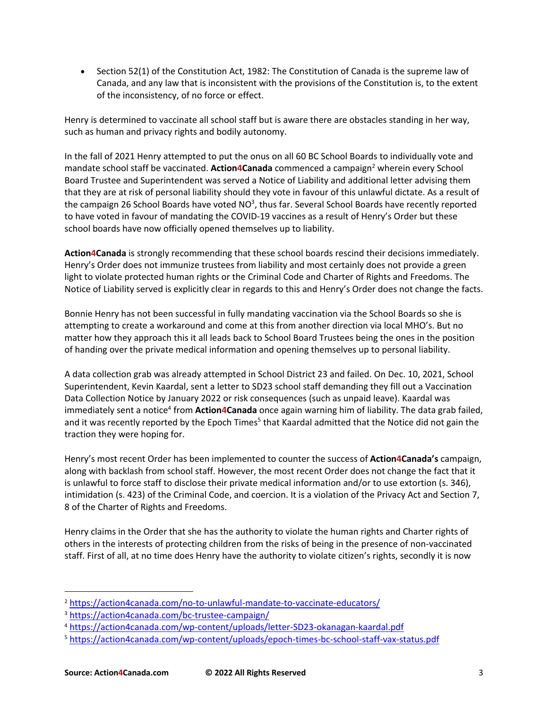• Section 52(1) of the Constitution Act, 1982: The Constitution of Canada is the supreme law of Canada, and any law that is inconsistent with the provisions of the Constitution is, to the extent of the inconsistency, of no force or effect.

Henry is determined to vaccinate all school staff but is aware there are obstacles standing in her way, such as human and privacy rights and bodily autonomy.

In the fall of 2021 Henry attempted to put the onus on all 60 BC School Boards to individually vote and mandate school staff be vaccinated. **Action4Canada** commenced a campaign<sup>2</sup> wherein every School Board Trustee and Superintendent was served a Notice of Liability and additional letter advising them that they are at risk of personal liability should they vote in favour of this unlawful dictate. As a result of the campaign 26 School Boards have voted NO<sup>3</sup>, thus far. Several School Boards have recently reported to have voted in favour of mandating the COVID-19 vaccines as a result of Henry's Order but these school boards have now officially opened themselves up to liability.

**Action4Canada** is strongly recommending that these school boards rescind their decisions immediately. Henry's Order does not immunize trustees from liability and most certainly does not provide a green light to violate protected human rights or the Criminal Code and Charter of Rights and Freedoms. The Notice of Liability served is explicitly clear in regards to this and Henry's Order does not change the facts.

Bonnie Henry has not been successful in fully mandating vaccination via the School Boards so she is attempting to create a workaround and come at this from another direction via local MHO's. But no matter how they approach this it all leads back to School Board Trustees being the ones in the position of handing over the private medical information and opening themselves up to personal liability.

A data collection grab was already attempted in School District 23 and failed. On Dec. 10, 2021, School Superintendent, Kevin Kaardal, sent a letter to SD23 school staff demanding they fill out a Vaccination Data Collection Notice by January 2022 or risk consequences (such as unpaid leave). Kaardal was immediately sent a notice<sup>4</sup> from **Action4Canada** once again warning him of liability. The data grab failed, and it was recently reported by the Epoch Times<sup>5</sup> that Kaardal admitted that the Notice did not gain the traction they were hoping for.

Henry's most recent Order has been implemented to counter the success of **Action4Canada's** campaign, along with backlash from school staff. However, the most recent Order does not change the fact that it is unlawful to force staff to disclose their private medical information and/or to use extortion (s. 346), intimidation (s. 423) of the Criminal Code, and coercion. It is a violation of the Privacy Act and Section 7, 8 of the Charter of Rights and Freedoms.

Henry claims in the Order that she has the authority to violate the human rights and Charter rights of others in the interests of protecting children from the risks of being in the presence of non-vaccinated staff. First of all, at no time does Henry have the authority to violate citizen's rights, secondly it is now

<sup>2</sup> https://action4canada.com/no-to-unlawful-mandate-to-vaccinate-educators/

<sup>3</sup> https://action4canada.com/bc-trustee-campaign/

<sup>4</sup> https://action4canada.com/wp-content/uploads/letter-SD23-okanagan-kaardal.pdf

<sup>5</sup> https://action4canada.com/wp-content/uploads/epoch-times-bc-school-staff-vax-status.pdf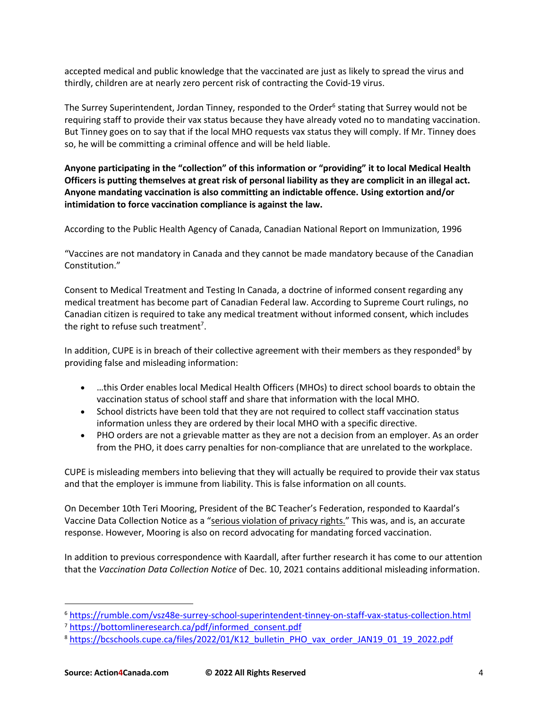accepted medical and public knowledge that the vaccinated are just as likely to spread the virus and thirdly, children are at nearly zero percent risk of contracting the Covid-19 virus.

The Surrey Superintendent, Jordan Tinney, responded to the Order<sup>6</sup> stating that Surrey would not be requiring staff to provide their vax status because they have already voted no to mandating vaccination. But Tinney goes on to say that if the local MHO requests vax status they will comply. If Mr. Tinney does so, he will be committing a criminal offence and will be held liable.

**Anyone participating in the "collection" of this information or "providing" it to local Medical Health Officers is putting themselves at great risk of personal liability as they are complicit in an illegal act. Anyone mandating vaccination is also committing an indictable offence. Using extortion and/or intimidation to force vaccination compliance is against the law.**

According to the Public Health Agency of Canada, Canadian National Report on Immunization, 1996

"Vaccines are not mandatory in Canada and they cannot be made mandatory because of the Canadian Constitution."

Consent to Medical Treatment and Testing In Canada, a doctrine of informed consent regarding any medical treatment has become part of Canadian Federal law. According to Supreme Court rulings, no Canadian citizen is required to take any medical treatment without informed consent, which includes the right to refuse such treatment<sup>7</sup>.

In addition, CUPE is in breach of their collective agreement with their members as they responded<sup>8</sup> by providing false and misleading information:

- …this Order enables local Medical Health Officers (MHOs) to direct school boards to obtain the vaccination status of school staff and share that information with the local MHO.
- School districts have been told that they are not required to collect staff vaccination status information unless they are ordered by their local MHO with a specific directive.
- PHO orders are not a grievable matter as they are not a decision from an employer. As an order from the PHO, it does carry penalties for non-compliance that are unrelated to the workplace.

CUPE is misleading members into believing that they will actually be required to provide their vax status and that the employer is immune from liability. This is false information on all counts.

On December 10th Teri Mooring, President of the BC Teacher's Federation, responded to Kaardal's Vaccine Data Collection Notice as a "serious violation of privacy rights." This was, and is, an accurate response. However, Mooring is also on record advocating for mandating forced vaccination.

In addition to previous correspondence with Kaardall, after further research it has come to our attention that the *Vaccination Data Collection Notice* of Dec. 10, 2021 contains additional misleading information.

<sup>6</sup> https://rumble.com/vsz48e-surrey-school-superintendent-tinney-on-staff-vax-status-collection.html

<sup>7</sup> https://bottomlineresearch.ca/pdf/informed\_consent.pdf

<sup>&</sup>lt;sup>8</sup> https://bcschools.cupe.ca/files/2022/01/K12\_bulletin\_PHO\_vax\_order\_JAN19\_01\_19\_2022.pdf